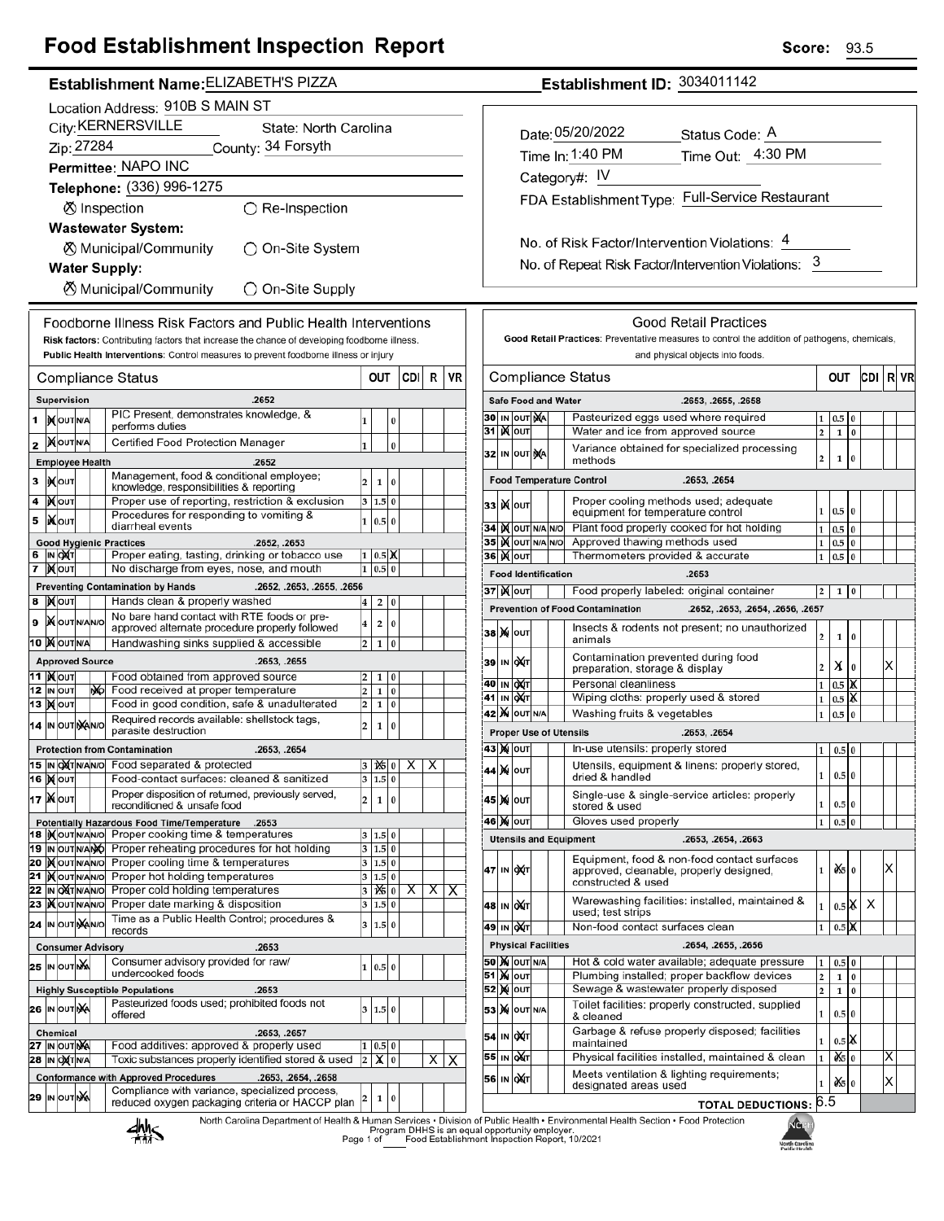# **Food Establishment Inspection Report**

|                                           |                                             |                                      |  |    | <b>Establishment Name: ELIZABETH'S PIZZA</b>                                                                                                                                         |                         |                 |          |              |    |    |  |
|-------------------------------------------|---------------------------------------------|--------------------------------------|--|----|--------------------------------------------------------------------------------------------------------------------------------------------------------------------------------------|-------------------------|-----------------|----------|--------------|----|----|--|
|                                           | Location Address: 910B S MAIN ST            |                                      |  |    |                                                                                                                                                                                      |                         |                 |          |              |    |    |  |
|                                           | City: KERNERSVILLE<br>State: North Carolina |                                      |  |    |                                                                                                                                                                                      |                         |                 |          |              |    |    |  |
|                                           | Zip: 27284<br>County: 34 Forsyth            |                                      |  |    |                                                                                                                                                                                      |                         |                 |          |              |    |    |  |
|                                           |                                             |                                      |  |    | Permittee: NAPO INC                                                                                                                                                                  |                         |                 |          |              |    |    |  |
|                                           |                                             |                                      |  |    | Telephone: (336) 996-1275                                                                                                                                                            |                         |                 |          |              |    |    |  |
|                                           |                                             |                                      |  |    | ⊗ Inspection<br>$\bigcirc$ Re-Inspection                                                                                                                                             |                         |                 |          |              |    |    |  |
|                                           |                                             |                                      |  |    |                                                                                                                                                                                      |                         |                 |          |              |    |    |  |
|                                           |                                             |                                      |  |    | <b>Wastewater System:</b>                                                                                                                                                            |                         |                 |          |              |    |    |  |
| ⊗ Municipal/Community<br>◯ On-Site System |                                             |                                      |  |    |                                                                                                                                                                                      |                         |                 |          |              |    |    |  |
| <b>Water Supply:</b>                      |                                             |                                      |  |    |                                                                                                                                                                                      |                         |                 |          |              |    |    |  |
| ⊗ Municipal/Community<br>◯ On-Site Supply |                                             |                                      |  |    |                                                                                                                                                                                      |                         |                 |          |              |    |    |  |
|                                           |                                             |                                      |  |    |                                                                                                                                                                                      |                         |                 |          |              |    |    |  |
|                                           |                                             |                                      |  |    | Foodborne Illness Risk Factors and Public Health Interventions                                                                                                                       |                         |                 |          |              |    |    |  |
|                                           |                                             |                                      |  |    | Risk factors: Contributing factors that increase the chance of developing foodborne illness.<br>Public Health Interventions: Control measures to prevent foodborne illness or injury |                         |                 |          |              |    |    |  |
|                                           |                                             |                                      |  |    |                                                                                                                                                                                      |                         |                 |          |              |    |    |  |
|                                           |                                             |                                      |  |    | <b>Compliance Status</b>                                                                                                                                                             |                         | out             |          | CDI          | R  | VR |  |
|                                           |                                             | Supervision                          |  |    | .2652                                                                                                                                                                                |                         |                 |          |              |    |    |  |
|                                           |                                             | <b>IN OUT N/A</b>                    |  |    | PIC Present, demonstrates knowledge, &<br>performs duties                                                                                                                            | 1                       |                 | 0        |              |    |    |  |
| 2                                         |                                             | <b>MOUTNA</b>                        |  |    | Certified Food Protection Manager                                                                                                                                                    | 1                       |                 | 0        |              |    |    |  |
|                                           |                                             | <b>Employee Health</b>               |  |    | .2652                                                                                                                                                                                |                         |                 |          |              |    |    |  |
| 3                                         |                                             | IX OUT                               |  |    | Management, food & conditional employee;                                                                                                                                             | 2                       | 1               | 0        |              |    |    |  |
| 4                                         |                                             | <b>IX</b> OUT                        |  |    | knowledge, responsibilities & reporting<br>Proper use of reporting, restriction & exclusion                                                                                          | $\overline{\mathbf{3}}$ | 1.5 0           |          |              |    |    |  |
|                                           |                                             |                                      |  |    | Procedures for responding to vomiting &                                                                                                                                              |                         |                 |          |              |    |    |  |
| 5                                         |                                             | IiXo∪т                               |  |    | diarrheal events                                                                                                                                                                     | 1                       | 0.5 0           |          |              |    |    |  |
| 6                                         |                                             |                                      |  |    | <b>Good Hygienic Practices</b><br>.2652, .2653                                                                                                                                       |                         |                 |          |              |    |    |  |
| 7                                         |                                             | IN <b>DAT</b><br><b>X</b> out        |  |    | Proper eating, tasting, drinking or tobacco use<br>No discharge from eyes, nose, and mouth                                                                                           | 1<br>1                  | $0.5$ X<br>0.5  | 0        |              |    |    |  |
|                                           |                                             |                                      |  |    | <b>Preventing Contamination by Hands</b><br>.2652, .2653, .2655, .2656                                                                                                               |                         |                 |          |              |    |    |  |
| 8                                         |                                             | <b>X</b> оит                         |  |    | Hands clean & properly washed                                                                                                                                                        | 4                       | 2               | 0        |              |    |    |  |
| 9                                         |                                             | <b>X</b> OUTNANO                     |  |    | No bare hand contact with RTE foods or pre-                                                                                                                                          | 4                       | 2               | 0        |              |    |    |  |
|                                           |                                             | 10 MOUTNA                            |  |    | approved alternate procedure properly followed<br>Handwashing sinks supplied & accessible                                                                                            | 2                       | $\mathbf{1}$    | $\bf{0}$ |              |    |    |  |
|                                           |                                             | <b>Approved Source</b>               |  |    | .2653, .2655                                                                                                                                                                         |                         |                 |          |              |    |    |  |
|                                           |                                             | 11  )χ ουτ                           |  |    | Food obtained from approved source                                                                                                                                                   | 2                       | 1               | 0        |              |    |    |  |
|                                           |                                             | 12 IN OUT                            |  | NO | Food received at proper temperature                                                                                                                                                  | 2                       | 1               | 0        |              |    |    |  |
|                                           |                                             | 13  ) <b>(</b>  оυт                  |  |    | Food in good condition, safe & unadulterated                                                                                                                                         | 2                       | 1               | 0        |              |    |    |  |
|                                           |                                             | 14 IN OUT NANO                       |  |    | Required records available: shellstock tags,<br>parasite destruction                                                                                                                 | $\overline{\mathbf{c}}$ | 1               | 0        |              |    |    |  |
|                                           |                                             |                                      |  |    | <b>Protection from Contamination</b><br>.2653, .2654                                                                                                                                 |                         |                 |          |              |    |    |  |
|                                           |                                             |                                      |  |    | 15 IN ONTIN/AN/O Food separated & protected                                                                                                                                          |                         | $3   X =   0  $ |          | $\mathsf{X}$ | ΧI |    |  |
|                                           |                                             | 16   <b>X</b>  оит                   |  |    | Food-contact surfaces: cleaned & sanitized                                                                                                                                           | 3                       | 1.5 0           |          |              |    |    |  |
|                                           |                                             | <b>17 Жолт</b>                       |  |    | Proper disposition of returned, previously served,<br>reconditioned & unsafe food                                                                                                    | 2                       | 1               | 0        |              |    |    |  |
|                                           |                                             |                                      |  |    | Potentially Hazardous Food Time/Temperature .2653                                                                                                                                    |                         |                 |          |              |    |    |  |
|                                           |                                             |                                      |  |    | 18 Mourwawo Proper cooking time & temperatures                                                                                                                                       | 3                       | 1.5 0           |          |              |    |    |  |
|                                           |                                             | 19 IN OUT N/ANO                      |  |    | Proper reheating procedures for hot holding                                                                                                                                          | 3                       | 1.5 0           |          |              |    |    |  |
| 21                                        |                                             | 20  )( OUT N/AN/O<br><b>KOUTNANO</b> |  |    | Proper cooling time & temperatures<br>Proper hot holding temperatures                                                                                                                | 3<br>3                  | 1.5 0<br>1.5 0  |          |              |    |    |  |
|                                           |                                             | 22 IN OXTNANO                        |  |    | Proper cold holding temperatures                                                                                                                                                     | 3                       | $\frac{1}{6}$ 0 |          | х            | X  | х  |  |
| 23                                        |                                             | <b>IX</b> OUTINANO                   |  |    | Proper date marking & disposition                                                                                                                                                    | 3                       | 1.5 0           |          |              |    |    |  |
| 24                                        |                                             | IN OUT NAINO                         |  |    | Time as a Public Health Control; procedures &                                                                                                                                        | 3                       | 1.5             | $\bf{0}$ |              |    |    |  |
|                                           |                                             |                                      |  |    | records<br><b>Consumer Advisory</b><br>.2653                                                                                                                                         |                         |                 |          |              |    |    |  |
|                                           |                                             | IN OUT NA                            |  |    | Consumer advisory provided for raw/                                                                                                                                                  |                         |                 |          |              |    |    |  |
| 25                                        |                                             |                                      |  |    | undercooked foods                                                                                                                                                                    | 1                       | 0.5 0           |          |              |    |    |  |
|                                           |                                             |                                      |  |    | <b>Highly Susceptible Populations</b><br>.2653                                                                                                                                       |                         |                 |          |              |    |    |  |
|                                           |                                             | 26 IN OUT NA                         |  |    | Pasteurized foods used; prohibited foods not<br>offered                                                                                                                              | 3                       | 1.5 0           |          |              |    |    |  |
|                                           |                                             | <b>Chemical</b>                      |  |    | .2653, .2657                                                                                                                                                                         |                         |                 |          |              |    |    |  |
| 27                                        |                                             | IN OUT NA                            |  |    | Food additives: approved & properly used                                                                                                                                             | 1                       | 0.5             | 0        |              |    |    |  |
|                                           |                                             | 28  IN O <b>X</b> T N/A              |  |    | Toxic substances properly identified stored & used                                                                                                                                   | $\overline{\mathbf{c}}$ | х               | 0        |              | Х  | х  |  |
|                                           |                                             |                                      |  |    | <b>Conformance with Approved Procedures</b><br>.2653, .2654, .2658<br>Compliance with variance, specialized process,                                                                 |                         |                 |          |              |    |    |  |
| 29                                        |                                             | IN OUTING                            |  |    | reduced oxygen packaging criteria or HACCP plan                                                                                                                                      | 2                       | 1               | 0        |              |    |    |  |
|                                           |                                             |                                      |  |    | North Carolina Department of Health & Human Services . Division<br>11. L                                                                                                             |                         |                 |          |              |    |    |  |

Establishment ID: 3034011142

| Date: 05/20/2022                              | Status Code: A                                  |
|-----------------------------------------------|-------------------------------------------------|
| Time In: 1:40 PM                              | Time Out: 4:30 PM                               |
| Category#: IV                                 |                                                 |
|                                               | FDA Establishment Type: Full-Service Restaurant |
|                                               |                                                 |
| No. of Risk Factor/Intervention Violations: 4 |                                                 |

No. of Repeat Risk Factor/Intervention Violations: 3

| Compliance Status |        |                           |    |                            | OUT                                                                                                          |                     |         | CDI            | R | VR |  |
|-------------------|--------|---------------------------|----|----------------------------|--------------------------------------------------------------------------------------------------------------|---------------------|---------|----------------|---|----|--|
|                   |        |                           |    | <b>Safe Food and Water</b> | .2653, .2655, .2658                                                                                          |                     |         |                |   |    |  |
|                   |        | 30 IN OUT                 | ŅÁ |                            | Pasteurized eggs used where required                                                                         | 1                   | 0.5     | 0              |   |    |  |
| 31                |        | <b>K</b> lout             |    |                            | Water and ice from approved source                                                                           | 2                   | 1       | $\bf{0}$       |   |    |  |
| 32                |        | IN OUT                    | ŅA |                            | Variance obtained for specialized processing<br>methods                                                      | 2                   | 1       | 0              |   |    |  |
|                   |        |                           |    |                            | <b>Food Temperature Control</b><br>.2653, .2654                                                              |                     |         |                |   |    |  |
| 33                |        | <b>K</b> lout             |    |                            | Proper cooling methods used; adequate<br>equipment for temperature control                                   | 1                   | 0.5     | $\overline{0}$ |   |    |  |
| 34                |        | <b>IX</b> OUT N/A N/O     |    |                            | Plant food properly cooked for hot holding                                                                   | $\mathbf{1}$        | 0.5     | $\bf{0}$       |   |    |  |
| 35                |        | IX OUT N/A N/O            |    |                            | Approved thawing methods used                                                                                | 1                   | 0.5     | 0              |   |    |  |
|                   |        | 36  ) <b>(</b>  оит       |    |                            | Thermometers provided & accurate                                                                             | $\mathbf{1}$        | 0.5     | 0              |   |    |  |
|                   |        |                           |    | <b>Food Identification</b> | .2653                                                                                                        |                     |         |                |   |    |  |
|                   |        | 37∣)(∥о∪т                 |    |                            | Food properly labeled: original container                                                                    | 2                   | 1       | 0              |   |    |  |
|                   |        |                           |    |                            | <b>Prevention of Food Contamination</b><br>.2652, .2653, .2654, .2656, .2657                                 |                     |         |                |   |    |  |
| 38                |        | <b>X</b> OUT              |    |                            | Insects & rodents not present; no unauthorized<br>animals                                                    | 2                   | 1       | 0              |   |    |  |
| 39                | IN     | <b>DXT</b>                |    |                            | Contamination prevented during food<br>preparation, storage & display                                        | 2                   | х       | 0              |   | х  |  |
| 40                |        | IN OXT                    |    |                            | Personal cleanliness                                                                                         | $\mathbf{1}$        | 0.5     | Х              |   |    |  |
| 41                | IN     | ох(т                      |    |                            | Wiping cloths: properly used & stored                                                                        | $\mathbf{1}$        | 0.5     | й              |   |    |  |
| 42                |        | <b>X</b> OUTINA           |    |                            | Washing fruits & vegetables                                                                                  | 1                   | 0.5     | 0              |   |    |  |
|                   |        |                           |    |                            | <b>Proper Use of Utensils</b><br>.2653, .2654                                                                |                     |         |                |   |    |  |
|                   |        | 43   Χ(   ΟUT             |    |                            | In-use utensils: properly stored                                                                             | $\mathbf{1}$        | 0.5     | 0              |   |    |  |
| 44                |        | <b>X</b> OUT              |    |                            | Utensils, equipment & linens: properly stored,<br>dried & handled                                            | 1                   | $0.5$ 0 |                |   |    |  |
| 45                |        | <b>MIOUT</b>              |    |                            | Single-use & single-service articles: properly<br>stored & used                                              | 1                   | 0.5     | $\bf{0}$       |   |    |  |
|                   |        | 46 ) X   ОUТ              |    |                            | Gloves used properly                                                                                         | $\mathbf{1}$        | 0.5     | 0              |   |    |  |
|                   |        |                           |    |                            | <b>Utensils and Equipment</b><br>.2653, .2654, .2663                                                         |                     |         |                |   |    |  |
| 47                | IN     | <b>OXT</b>                |    |                            | Equipment, food & non-food contact surfaces<br>approved, cleanable, properly designed,<br>constructed & used | 1                   | ò⁄sl    | $\bf{0}$       |   | x  |  |
| 48                | IN     | <b>DAT</b>                |    |                            | Warewashing facilities: installed, maintained &<br>used; test strips                                         | 1                   | $0.5$ X |                | х |    |  |
| 49                |        | IN OAT                    |    |                            | Non-food contact surfaces clean                                                                              | 1                   | 0.5     | X              |   |    |  |
|                   |        |                           |    | <b>Physical Facilities</b> | .2654, .2655, .2656                                                                                          |                     |         |                |   |    |  |
|                   |        | <b>50   X</b>   OUT   N/A |    |                            | Hot & cold water available; adequate pressure                                                                | 1                   | 0.5     | $\bf{0}$       |   |    |  |
|                   |        | ∣ <b>)</b> ∣о∪т           |    |                            | Plumbing installed; proper backflow devices                                                                  | $\overline{2}$<br>2 | 1       | $\bf{0}$       |   |    |  |
| 51                |        |                           |    |                            | Sewage & wastewater properly disposed                                                                        |                     | 1       | 0              |   |    |  |
| 52                | )X ou⊤ |                           |    |                            | Toilet facilities: properly constructed, supplied                                                            | 1                   | 0.5     | 0              |   |    |  |
| 53                |        | <b>X</b> OUT N/A          |    |                            | & cleaned                                                                                                    |                     |         |                |   |    |  |
| 54                | IN     | <b>DXT</b>                |    |                            | Garbage & refuse properly disposed; facilities<br>maintained                                                 | 1                   | 0.5     | X              |   |    |  |
| 55                | IN     | ∣oXr                      |    |                            | Physical facilities installed, maintained & clean<br>Meets ventilation & lighting requirements;              | 1                   | ð\$     | 0              |   | х  |  |

₩S

alth & Human Services • Division of Public Health • Environmental Health Section • Food Protection<br>Program DHHS is an equal opportunity employer.<br>Page 1 of \_\_\_\_\_\_\_\_\_\_ood Establishment Inspection Report, 10/2021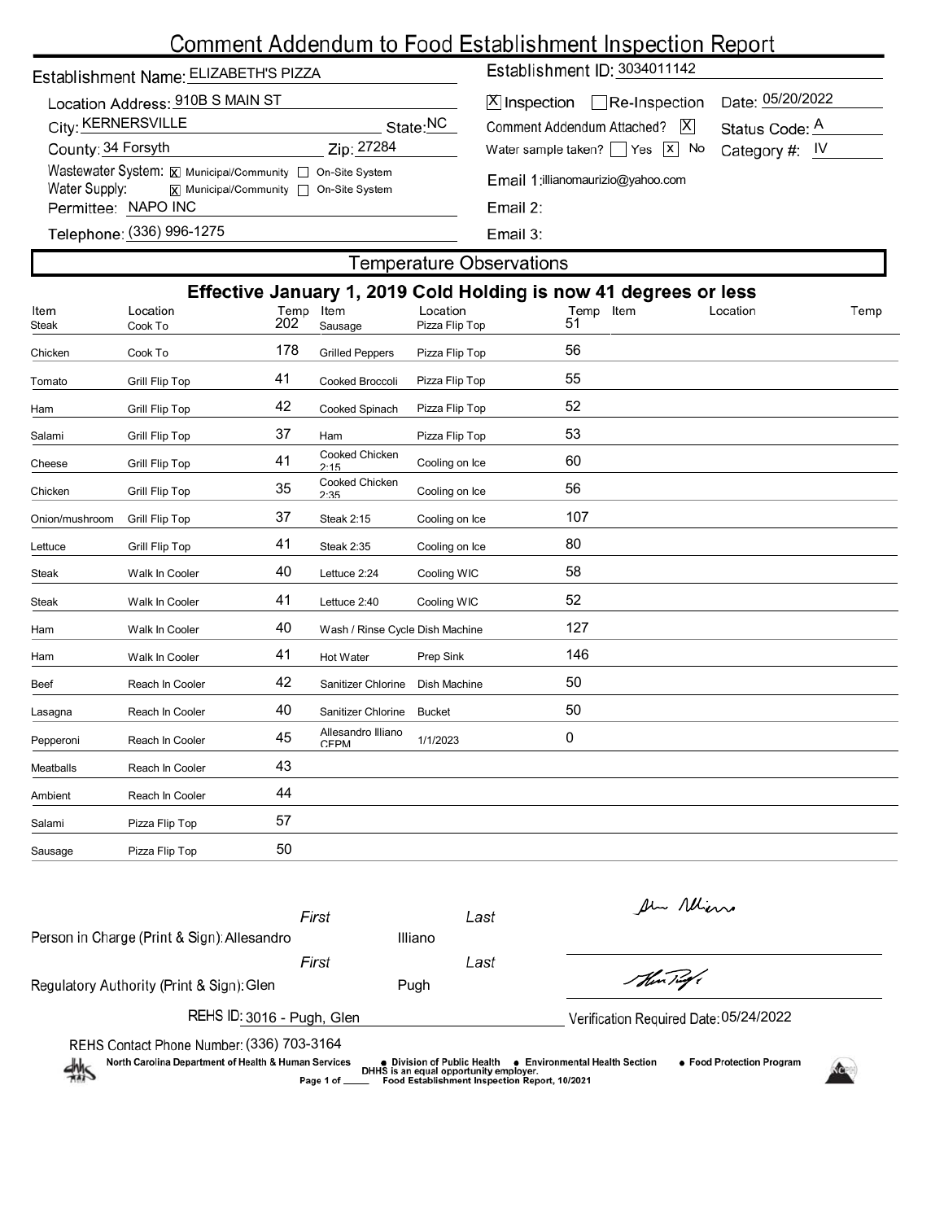## Comment Addendum to Food Establishment Inspection Report

|  | Establishment Name: ELIZABETH'S PIZZA |
|--|---------------------------------------|
|  |                                       |

|                     | Location Address: 910B S MAIN ST                          |                      |
|---------------------|-----------------------------------------------------------|----------------------|
| City: KERNERSVILLE  |                                                           | State: <sup>NC</sup> |
| County: 34 Forsyth  |                                                           | Zip: 27284           |
|                     | Wastewater System: X Municipal/Community   On-Site System |                      |
| Water Supply:       | x  Municipal/Community   On-Site System                   |                      |
| Permittee: NAPO INC |                                                           |                      |
|                     | Telenhone: (336) 996-1275                                 |                      |

Establishment ID: 3034011142

| X  Inspection   Re-Inspection Date: 05/20/2022               |  |
|--------------------------------------------------------------|--|
| Comment Addendum Attached?   X Status Code: A                |  |
| Water sample taken? $\Box$ Yes $\boxed{x}$ No Category #: IV |  |
|                                                              |  |

 $\overline{a}$ 

Email 1:illianomaurizio@yahoo.com

(336) 996-1275

Email 3:

### **Temperature Observations** Effective January 1, 2019 Cold Holding is now 41 degrees or less Cook To 202 Sausage Pizza Flip Top 51 Location Location Location Item Temp Steak Chicken Cook To 178 Grilled Peppers Pizza Flip Top 56 Tomato Grill Flip Top **41** Cooked Broccoli Pizza Flip Top 55 Ham Grill Flip Top 42 Cooked Spinach Pizza Flip Top 52 Salami Grill Flip Top 37 Ham Pizza Flip Top 53 Cooked Chicken<br>2.15 Cheese Grill Flip Top 41 Cooling on Ice 60 Cooked Chicken<br>2:35 Chicken Grill Flip Top 35 Cooling on Ice 56 Onion/mushroom Grill Flip Top  $37$  Steak 2:15 Cooling on Ice  $107$ Lettuce Crill Flip Top 41 Steak 2:35 Cooling on Ice 80 Steak Walk In Cooler 40 Lettuce 2:24 Cooling WIC 58 Steak Walk In Cooler 41 Lettuce 2:40 Cooling WIC 52 Ham Walk In Cooler 127 Wash / Rinse Cycle Dish Machine 127 Ham Walk In Cooler 41 Hot Water Prep Sink 146 Beef Reach In Cooler **42** Sanitizer Chlorine Dish Machine 50 Lasagna Reach In Cooler 40 Sanitizer Chlorine Bucket 50 Allesandro Illiano CFPM 1/1/2023 0 Pepperoni Reach In Cooler 45 Meatballs Reach In Cooler 43 Ambient Reach In Cooler 44 Salami Pizza Flip Top 57 Sausage Pizza Flip Top 50

|                                                                         | First     |                                                                       | Last | the Mins                                                    |  |
|-------------------------------------------------------------------------|-----------|-----------------------------------------------------------------------|------|-------------------------------------------------------------|--|
| Person in Charge (Print & Sign): Allesandro                             |           | Illiano                                                               |      |                                                             |  |
|                                                                         | First     |                                                                       | Last |                                                             |  |
| Regulatory Authority (Print & Sign): Glen                               |           | Pugh                                                                  |      | Shin Tug                                                    |  |
| REHS ID: 3016 - Pugh, Glen                                              |           |                                                                       |      | Verification Required Date: 05/24/2022                      |  |
| REHS Contact Phone Number: (336) 703-3164                               |           |                                                                       |      |                                                             |  |
| North Carolina Department of Health & Human Services<br>$\frac{dM}{dM}$ |           | • Division of Public Health<br>DHHS is an equal opportunity employer. |      | • Food Protection Program<br>• Environmental Health Section |  |
|                                                                         | Page 1 of | <b>Food Establishment Inspection Report 10/2021</b>                   |      |                                                             |  |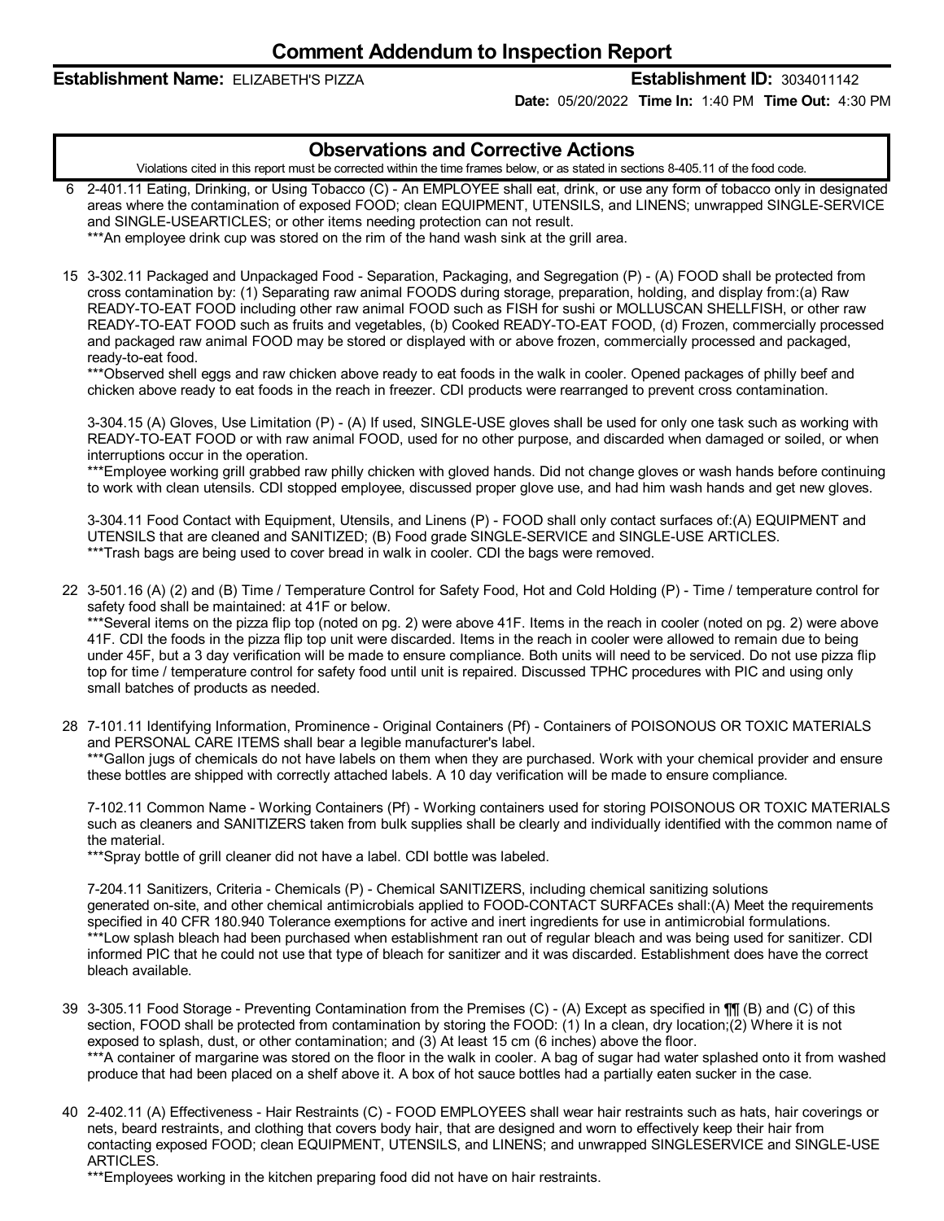### **Establishment Name:** ELIZABETH'S PIZZA **Establishment ID:** 3034011142

**Date:** 05/20/2022 **Time In:** 1:40 PM **Time Out:** 4:30 PM

## **Observations and Corrective Actions**

Violations cited in this report must be corrected within the time frames below, or as stated in sections 8-405.11 of the food code.

6 2-401.11 Eating, Drinking, or Using Tobacco (C) - An EMPLOYEE shall eat, drink, or use any form of tobacco only in designated areas where the contamination of exposed FOOD; clean EQUIPMENT, UTENSILS, and LINENS; unwrapped SINGLE-SERVICE and SINGLE-USEARTICLES; or other items needing protection can not result.

\*\*\*An employee drink cup was stored on the rim of the hand wash sink at the grill area.

15 3-302.11 Packaged and Unpackaged Food - Separation, Packaging, and Segregation (P) - (A) FOOD shall be protected from cross contamination by: (1) Separating raw animal FOODS during storage, preparation, holding, and display from:(a) Raw READY-TO-EAT FOOD including other raw animal FOOD such as FISH for sushi or MOLLUSCAN SHELLFISH, or other raw READY-TO-EAT FOOD such as fruits and vegetables, (b) Cooked READY-TO-EAT FOOD, (d) Frozen, commercially processed and packaged raw animal FOOD may be stored or displayed with or above frozen, commercially processed and packaged, ready-to-eat food.

\*\*\*Observed shell eggs and raw chicken above ready to eat foods in the walk in cooler. Opened packages of philly beef and chicken above ready to eat foods in the reach in freezer. CDI products were rearranged to prevent cross contamination.

3-304.15 (A) Gloves, Use Limitation (P) - (A) If used, SINGLE-USE gloves shall be used for only one task such as working with READY-TO-EAT FOOD or with raw animal FOOD, used for no other purpose, and discarded when damaged or soiled, or when interruptions occur in the operation.

\*\*\*Employee working grill grabbed raw philly chicken with gloved hands. Did not change gloves or wash hands before continuing to work with clean utensils. CDI stopped employee, discussed proper glove use, and had him wash hands and get new gloves.

3-304.11 Food Contact with Equipment, Utensils, and Linens (P) - FOOD shall only contact surfaces of:(A) EQUIPMENT and UTENSILS that are cleaned and SANITIZED; (B) Food grade SINGLE-SERVICE and SINGLE-USE ARTICLES. \*\*\*Trash bags are being used to cover bread in walk in cooler. CDI the bags were removed.

22 3-501.16 (A) (2) and (B) Time / Temperature Control for Safety Food, Hot and Cold Holding (P) - Time / temperature control for safety food shall be maintained: at 41F or below.

\*\*\*Several items on the pizza flip top (noted on pg. 2) were above 41F. Items in the reach in cooler (noted on pg. 2) were above 41F. CDI the foods in the pizza flip top unit were discarded. Items in the reach in cooler were allowed to remain due to being under 45F, but a 3 day verification will be made to ensure compliance. Both units will need to be serviced. Do not use pizza flip top for time / temperature control for safety food until unit is repaired. Discussed TPHC procedures with PIC and using only small batches of products as needed.

28 7-101.11 Identifying Information, Prominence - Original Containers (Pf) - Containers of POISONOUS OR TOXIC MATERIALS and PERSONAL CARE ITEMS shall bear a legible manufacturer's label. \*\*\*Gallon jugs of chemicals do not have labels on them when they are purchased. Work with your chemical provider and ensure these bottles are shipped with correctly attached labels. A 10 day verification will be made to ensure compliance.

7-102.11 Common Name - Working Containers (Pf) - Working containers used for storing POISONOUS OR TOXIC MATERIALS such as cleaners and SANITIZERS taken from bulk supplies shall be clearly and individually identified with the common name of

the material. \*\*\*Spray bottle of grill cleaner did not have a label. CDI bottle was labeled.

7-204.11 Sanitizers, Criteria - Chemicals (P) - Chemical SANITIZERS, including chemical sanitizing solutions generated on-site, and other chemical antimicrobials applied to FOOD-CONTACT SURFACEs shall:(A) Meet the requirements specified in 40 CFR 180.940 Tolerance exemptions for active and inert ingredients for use in antimicrobial formulations. \*\*\*Low splash bleach had been purchased when establishment ran out of regular bleach and was being used for sanitizer. CDI informed PIC that he could not use that type of bleach for sanitizer and it was discarded. Establishment does have the correct bleach available.

- 39 3-305.11 Food Storage Preventing Contamination from the Premises (C) (A) Except as specified in  $\P\P$  (B) and (C) of this section, FOOD shall be protected from contamination by storing the FOOD: (1) In a clean, dry location;(2) Where it is not exposed to splash, dust, or other contamination; and (3) At least 15 cm (6 inches) above the floor. \*\*\*A container of margarine was stored on the floor in the walk in cooler. A bag of sugar had water splashed onto it from washed produce that had been placed on a shelf above it. A box of hot sauce bottles had a partially eaten sucker in the case.
- 40 2-402.11 (A) Effectiveness Hair Restraints (C) FOOD EMPLOYEES shall wear hair restraints such as hats, hair coverings or nets, beard restraints, and clothing that covers body hair, that are designed and worn to effectively keep their hair from contacting exposed FOOD; clean EQUIPMENT, UTENSILS, and LINENS; and unwrapped SINGLESERVICE and SINGLE-USE ARTICLES.

\*\*\*Employees working in the kitchen preparing food did not have on hair restraints.